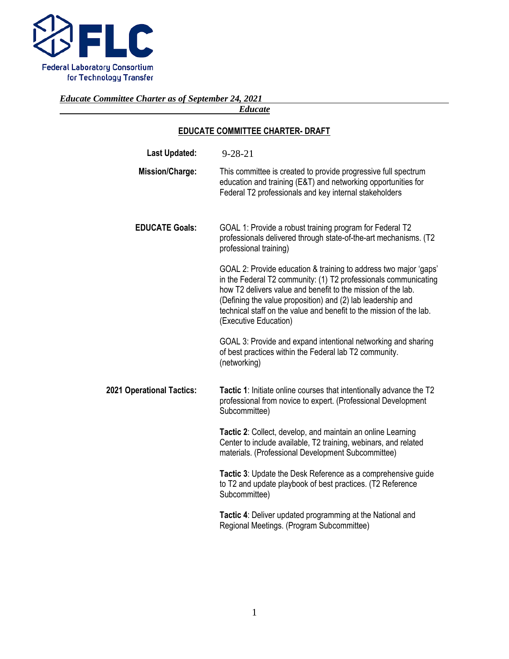

*Educate*

#### **EDUCATE COMMITTEE CHARTER- DRAFT**

| <b>Last Updated:</b>      | $9 - 28 - 21$                                                                                                                                                                                                                                                                                                                                                      |
|---------------------------|--------------------------------------------------------------------------------------------------------------------------------------------------------------------------------------------------------------------------------------------------------------------------------------------------------------------------------------------------------------------|
| <b>Mission/Charge:</b>    | This committee is created to provide progressive full spectrum<br>education and training (E&T) and networking opportunities for<br>Federal T2 professionals and key internal stakeholders                                                                                                                                                                          |
| <b>EDUCATE Goals:</b>     | GOAL 1: Provide a robust training program for Federal T2<br>professionals delivered through state-of-the-art mechanisms. (T2<br>professional training)                                                                                                                                                                                                             |
|                           | GOAL 2: Provide education & training to address two major 'gaps'<br>in the Federal T2 community: (1) T2 professionals communicating<br>how T2 delivers value and benefit to the mission of the lab.<br>(Defining the value proposition) and (2) lab leadership and<br>technical staff on the value and benefit to the mission of the lab.<br>(Executive Education) |
|                           | GOAL 3: Provide and expand intentional networking and sharing<br>of best practices within the Federal lab T2 community.<br>(networking)                                                                                                                                                                                                                            |
| 2021 Operational Tactics: | Tactic 1: Initiate online courses that intentionally advance the T2<br>professional from novice to expert. (Professional Development<br>Subcommittee)                                                                                                                                                                                                              |
|                           | Tactic 2: Collect, develop, and maintain an online Learning<br>Center to include available, T2 training, webinars, and related<br>materials. (Professional Development Subcommittee)                                                                                                                                                                               |
|                           | Tactic 3: Update the Desk Reference as a comprehensive guide<br>to T2 and update playbook of best practices. (T2 Reference<br>Subcommittee)                                                                                                                                                                                                                        |
|                           | Tactic 4: Deliver updated programming at the National and<br>Regional Meetings. (Program Subcommittee)                                                                                                                                                                                                                                                             |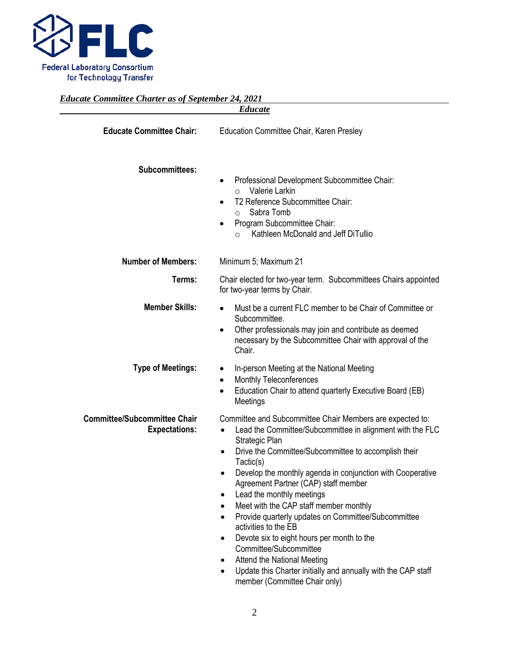

| <b>Educate</b>                                              |                                                                                                                                                                                                                                                                                                                                                                                                                                                                                                                                                                                                                                                                                                                                                 |  |  |  |
|-------------------------------------------------------------|-------------------------------------------------------------------------------------------------------------------------------------------------------------------------------------------------------------------------------------------------------------------------------------------------------------------------------------------------------------------------------------------------------------------------------------------------------------------------------------------------------------------------------------------------------------------------------------------------------------------------------------------------------------------------------------------------------------------------------------------------|--|--|--|
| <b>Educate Committee Chair:</b>                             | Education Committee Chair, Karen Presley                                                                                                                                                                                                                                                                                                                                                                                                                                                                                                                                                                                                                                                                                                        |  |  |  |
| <b>Subcommittees:</b>                                       | Professional Development Subcommittee Chair:<br>٠<br>Valerie Larkin<br>$\Omega$<br>T2 Reference Subcommittee Chair:<br>$\bullet$<br>Sabra Tomb<br>$\Omega$<br>Program Subcommittee Chair:<br>$\bullet$<br>Kathleen McDonald and Jeff DiTullio<br>$\circ$                                                                                                                                                                                                                                                                                                                                                                                                                                                                                        |  |  |  |
| <b>Number of Members:</b>                                   | Minimum 5; Maximum 21                                                                                                                                                                                                                                                                                                                                                                                                                                                                                                                                                                                                                                                                                                                           |  |  |  |
| Terms:                                                      | Chair elected for two-year term. Subcommittees Chairs appointed<br>for two-year terms by Chair.                                                                                                                                                                                                                                                                                                                                                                                                                                                                                                                                                                                                                                                 |  |  |  |
| <b>Member Skills:</b>                                       | Must be a current FLC member to be Chair of Committee or<br>$\bullet$<br>Subcommittee.<br>Other professionals may join and contribute as deemed<br>$\bullet$<br>necessary by the Subcommittee Chair with approval of the<br>Chair.                                                                                                                                                                                                                                                                                                                                                                                                                                                                                                              |  |  |  |
| <b>Type of Meetings:</b>                                    | In-person Meeting at the National Meeting<br>٠<br>Monthly Teleconferences<br>$\bullet$<br>Education Chair to attend quarterly Executive Board (EB)<br>$\bullet$<br>Meetings                                                                                                                                                                                                                                                                                                                                                                                                                                                                                                                                                                     |  |  |  |
| <b>Committee/Subcommittee Chair</b><br><b>Expectations:</b> | Committee and Subcommittee Chair Members are expected to:<br>Lead the Committee/Subcommittee in alignment with the FLC<br>Strategic Plan<br>Drive the Committee/Subcommittee to accomplish their<br>$\bullet$<br>Tactic(s)<br>Develop the monthly agenda in conjunction with Cooperative<br>٠<br>Agreement Partner (CAP) staff member<br>Lead the monthly meetings<br>Meet with the CAP staff member monthly<br>Provide quarterly updates on Committee/Subcommittee<br>$\bullet$<br>activities to the EB<br>Devote six to eight hours per month to the<br>٠<br>Committee/Subcommittee<br><b>Attend the National Meeting</b><br>٠<br>Update this Charter initially and annually with the CAP staff<br>$\bullet$<br>member (Committee Chair only) |  |  |  |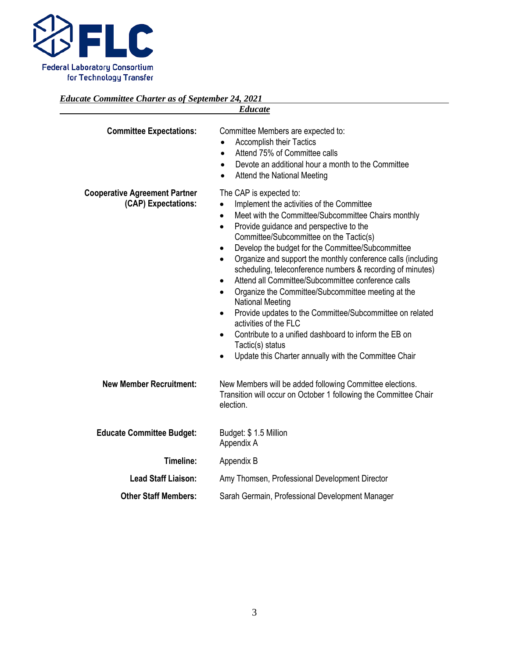

| <b>Educate</b>                                              |                                                                                                                                                                                                                                                                                                                                                                                                                                                                                                                                                                                                                                                                                                                                                                                                                                                                                                  |  |  |
|-------------------------------------------------------------|--------------------------------------------------------------------------------------------------------------------------------------------------------------------------------------------------------------------------------------------------------------------------------------------------------------------------------------------------------------------------------------------------------------------------------------------------------------------------------------------------------------------------------------------------------------------------------------------------------------------------------------------------------------------------------------------------------------------------------------------------------------------------------------------------------------------------------------------------------------------------------------------------|--|--|
| <b>Committee Expectations:</b>                              | Committee Members are expected to:<br><b>Accomplish their Tactics</b><br>Attend 75% of Committee calls<br>$\bullet$<br>Devote an additional hour a month to the Committee<br>$\bullet$<br>Attend the National Meeting<br>$\bullet$                                                                                                                                                                                                                                                                                                                                                                                                                                                                                                                                                                                                                                                               |  |  |
| <b>Cooperative Agreement Partner</b><br>(CAP) Expectations: | The CAP is expected to:<br>Implement the activities of the Committee<br>$\bullet$<br>Meet with the Committee/Subcommittee Chairs monthly<br>$\bullet$<br>Provide guidance and perspective to the<br>$\bullet$<br>Committee/Subcommittee on the Tactic(s)<br>Develop the budget for the Committee/Subcommittee<br>٠<br>Organize and support the monthly conference calls (including<br>$\bullet$<br>scheduling, teleconference numbers & recording of minutes)<br>Attend all Committee/Subcommittee conference calls<br>$\bullet$<br>Organize the Committee/Subcommittee meeting at the<br>$\bullet$<br><b>National Meeting</b><br>Provide updates to the Committee/Subcommittee on related<br>$\bullet$<br>activities of the FLC<br>Contribute to a unified dashboard to inform the EB on<br>$\bullet$<br>Tactic(s) status<br>Update this Charter annually with the Committee Chair<br>$\bullet$ |  |  |
| <b>New Member Recruitment:</b>                              | New Members will be added following Committee elections.<br>Transition will occur on October 1 following the Committee Chair<br>election.                                                                                                                                                                                                                                                                                                                                                                                                                                                                                                                                                                                                                                                                                                                                                        |  |  |
| <b>Educate Committee Budget:</b>                            | Budget: \$1.5 Million<br>Appendix A                                                                                                                                                                                                                                                                                                                                                                                                                                                                                                                                                                                                                                                                                                                                                                                                                                                              |  |  |
| Timeline:                                                   | Appendix B                                                                                                                                                                                                                                                                                                                                                                                                                                                                                                                                                                                                                                                                                                                                                                                                                                                                                       |  |  |
| <b>Lead Staff Liaison:</b>                                  | Amy Thomsen, Professional Development Director                                                                                                                                                                                                                                                                                                                                                                                                                                                                                                                                                                                                                                                                                                                                                                                                                                                   |  |  |
| <b>Other Staff Members:</b>                                 | Sarah Germain, Professional Development Manager                                                                                                                                                                                                                                                                                                                                                                                                                                                                                                                                                                                                                                                                                                                                                                                                                                                  |  |  |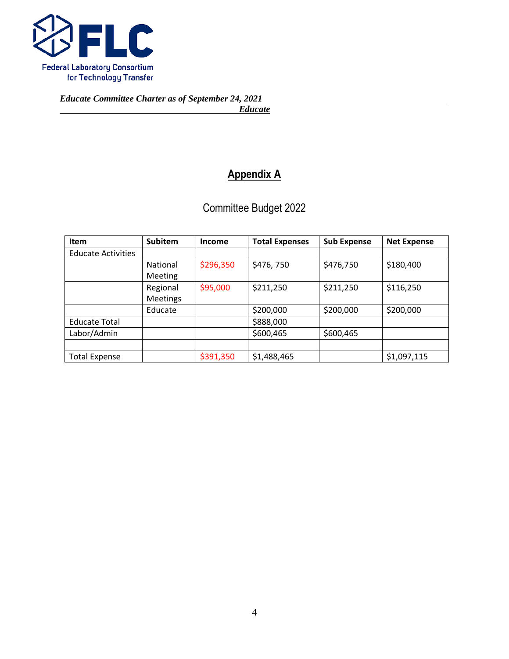

*Educate*

### **Appendix A**

Committee Budget 2022

| <b>Item</b>               | <b>Subitem</b>  | <b>Income</b> | <b>Total Expenses</b> | <b>Sub Expense</b> | <b>Net Expense</b> |
|---------------------------|-----------------|---------------|-----------------------|--------------------|--------------------|
| <b>Educate Activities</b> |                 |               |                       |                    |                    |
|                           | <b>National</b> | \$296,350     | \$476,750             | \$476,750          | \$180,400          |
|                           | Meeting         |               |                       |                    |                    |
|                           | Regional        | \$95,000      | \$211,250             | \$211,250          | \$116,250          |
|                           | Meetings        |               |                       |                    |                    |
|                           | Educate         |               | \$200,000             | \$200,000          | \$200,000          |
| <b>Educate Total</b>      |                 |               | \$888,000             |                    |                    |
| Labor/Admin               |                 |               | \$600,465             | \$600,465          |                    |
|                           |                 |               |                       |                    |                    |
| <b>Total Expense</b>      |                 | \$391,350     | \$1,488,465           |                    | \$1,097,115        |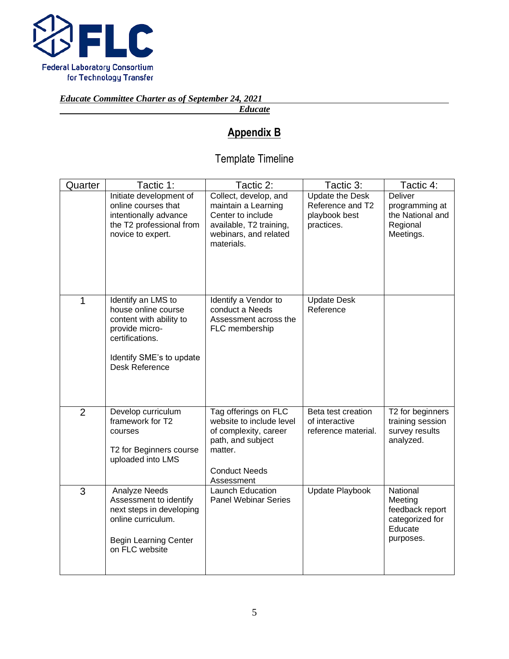

*Educate*

## **Appendix B**

# Template Timeline

| Quarter        | Tactic 1:                                                                                                                                               | Tactic 2:                                                                                                                                       | Tactic 3:                                                                 | Tactic 4:                                                                         |
|----------------|---------------------------------------------------------------------------------------------------------------------------------------------------------|-------------------------------------------------------------------------------------------------------------------------------------------------|---------------------------------------------------------------------------|-----------------------------------------------------------------------------------|
|                | Initiate development of<br>online courses that<br>intentionally advance<br>the T2 professional from<br>novice to expert.                                | Collect, develop, and<br>maintain a Learning<br>Center to include<br>available, T2 training,<br>webinars, and related<br>materials.             | <b>Update the Desk</b><br>Reference and T2<br>playbook best<br>practices. | <b>Deliver</b><br>programming at<br>the National and<br>Regional<br>Meetings.     |
| 1              | Identify an LMS to<br>house online course<br>content with ability to<br>provide micro-<br>certifications.<br>Identify SME's to update<br>Desk Reference | Identify a Vendor to<br>conduct a Needs<br>Assessment across the<br>FLC membership                                                              | <b>Update Desk</b><br>Reference                                           |                                                                                   |
| $\overline{2}$ | Develop curriculum<br>framework for T2<br>courses<br>T2 for Beginners course<br>uploaded into LMS                                                       | Tag offerings on FLC<br>website to include level<br>of complexity, career<br>path, and subject<br>matter.<br><b>Conduct Needs</b><br>Assessment | Beta test creation<br>of interactive<br>reference material.               | T2 for beginners<br>training session<br>survey results<br>analyzed.               |
| 3              | Analyze Needs<br>Assessment to identify<br>next steps in developing<br>online curriculum.<br><b>Begin Learning Center</b><br>on FLC website             | <b>Launch Education</b><br><b>Panel Webinar Series</b>                                                                                          | Update Playbook                                                           | National<br>Meeting<br>feedback report<br>categorized for<br>Educate<br>purposes. |